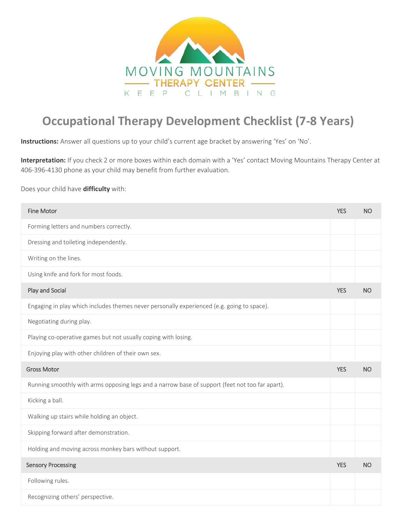

## **Occupational Therapy Development Checklist (7-8 Years)**

**Instructions:** Answer all questions up to your child's current age bracket by answering 'Yes' on 'No'.

**Interpretation:** If you check 2 or more boxes within each domain with a 'Yes' contact Moving Mountains Therapy Center at 406-396-4130 phone as your child may benefit from further evaluation.

Does your child have **difficulty** with:

| <b>Fine Motor</b>                                                                               | <b>YES</b> | <b>NO</b> |
|-------------------------------------------------------------------------------------------------|------------|-----------|
| Forming letters and numbers correctly.                                                          |            |           |
| Dressing and toileting independently.                                                           |            |           |
| Writing on the lines.                                                                           |            |           |
| Using knife and fork for most foods.                                                            |            |           |
| Play and Social                                                                                 | <b>YES</b> | <b>NO</b> |
| Engaging in play which includes themes never personally experienced (e.g. going to space).      |            |           |
| Negotiating during play.                                                                        |            |           |
| Playing co-operative games but not usually coping with losing.                                  |            |           |
| Enjoying play with other children of their own sex.                                             |            |           |
| <b>Gross Motor</b>                                                                              | <b>YES</b> | <b>NO</b> |
| Running smoothly with arms opposing legs and a narrow base of support (feet not too far apart). |            |           |
| Kicking a ball.                                                                                 |            |           |
| Walking up stairs while holding an object.                                                      |            |           |
| Skipping forward after demonstration.                                                           |            |           |
| Holding and moving across monkey bars without support.                                          |            |           |
| <b>Sensory Processing</b>                                                                       | <b>YES</b> | <b>NO</b> |
| Following rules.                                                                                |            |           |
| Recognizing others' perspective.                                                                |            |           |